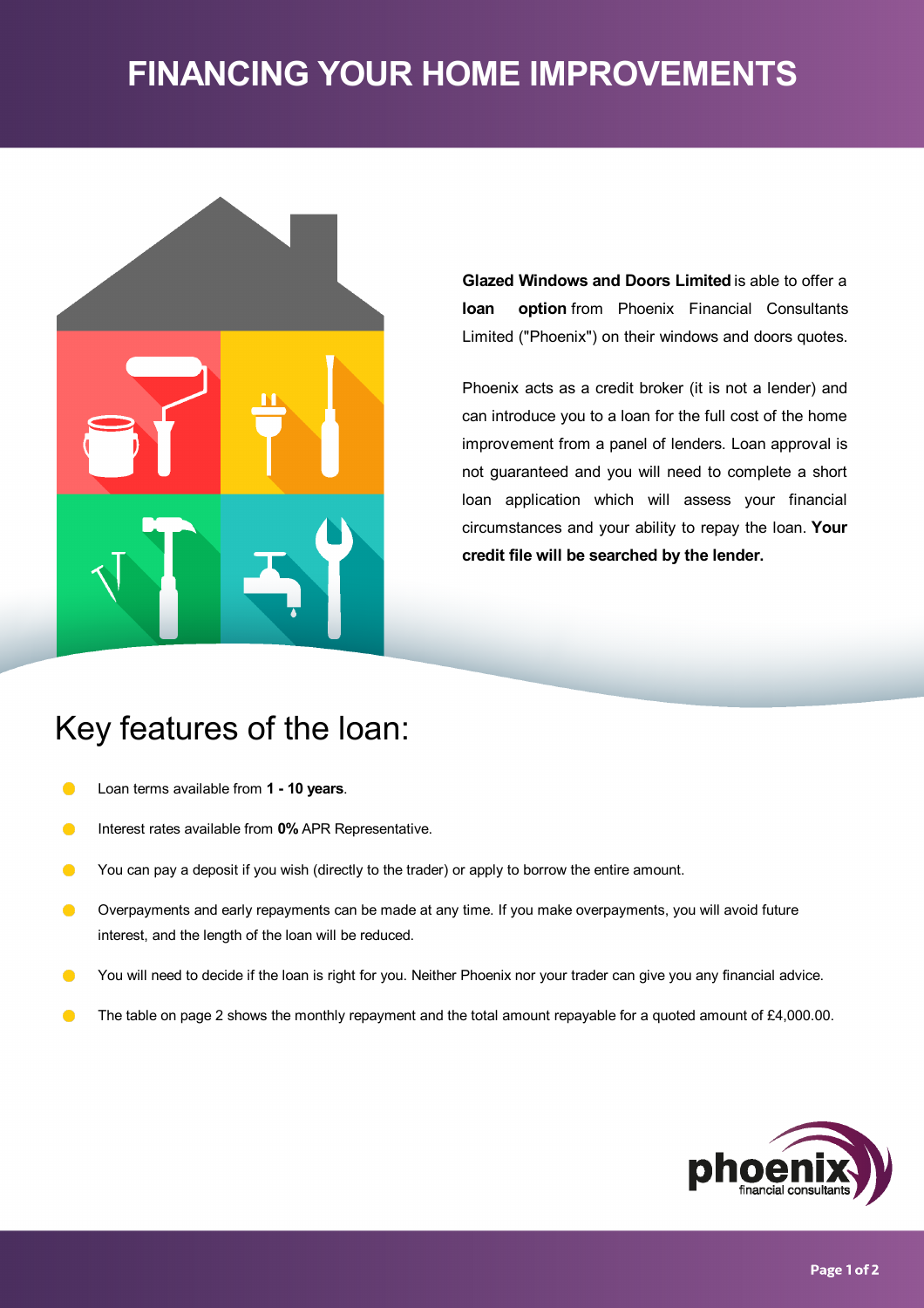# **FINANCING YOUR HOME IMPROVEMENTS**



**Glazed Windows and Doors Limited** is able to offer a **loan option** from Phoenix Financial Consultants Limited ("Phoenix") on their windows and doors quotes.

Phoenix acts as a credit broker (it is not a lender) and can introduce you to a loan for the full cost of the home improvement from a panel of lenders. Loan approval is not guaranteed and you will need to complete a short loan application which will assess your financial circumstances and your ability to repay the loan. **Your credit file will be searched by the lender.**

# Key features of the loan:

- Loan terms available from **1 -10 years**.  $\bullet$
- Interest rates available from **0%** APR Representative.  $\bullet$
- $\bullet$ You can pay a deposit if you wish (directly to the trader) or apply to borrow the entire amount.
- Overpayments and early repayments can be made at any time. If you make overpayments, you will avoid future  $\bullet$ interest, and the length of the loan will be reduced.
- $\bullet$ You will need to decide if the loan is right for you. Neither Phoenix nor your trader can give you any financial advice.
- The table on page 2 shows the monthly repayment and the total amount repayable for a quoted amount of £4,000.00.